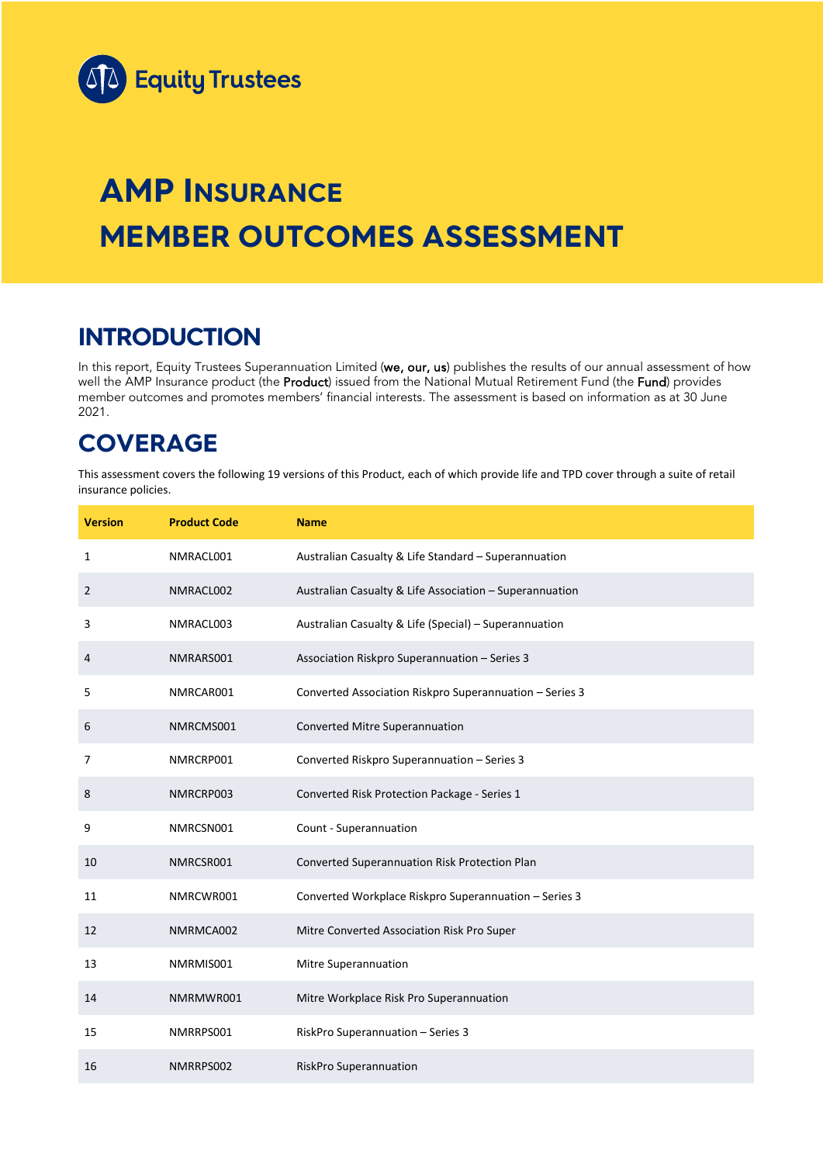

# **AMP INSURANCE MEMBER OUTCOMES ASSESSMENT**

## **INTRODUCTION**

In this report, Equity Trustees Superannuation Limited (we, our, us) publishes the results of our annual assessment of how well the AMP Insurance product (the Product) issued from the National Mutual Retirement Fund (the Fund) provides member outcomes and promotes members' financial interests. The assessment is based on information as at 30 June 2021.

## **COVERAGE**

This assessment covers the following 19 versions of this Product, each of which provide life and TPD cover through a suite of retail insurance policies.

| <b>Version</b> | <b>Product Code</b> | <b>Name</b>                                             |
|----------------|---------------------|---------------------------------------------------------|
| $\mathbf{1}$   | NMRACL001           | Australian Casualty & Life Standard - Superannuation    |
| $\overline{2}$ | NMRACL002           | Australian Casualty & Life Association - Superannuation |
| 3              | NMRACL003           | Australian Casualty & Life (Special) - Superannuation   |
| 4              | NMRARS001           | Association Riskpro Superannuation - Series 3           |
| 5              | NMRCAR001           | Converted Association Riskpro Superannuation - Series 3 |
| 6              | NMRCMS001           | Converted Mitre Superannuation                          |
| $\overline{7}$ | NMRCRP001           | Converted Riskpro Superannuation - Series 3             |
| 8              | NMRCRP003           | Converted Risk Protection Package - Series 1            |
| 9              | NMRCSN001           | Count - Superannuation                                  |
| 10             | NMRCSR001           | Converted Superannuation Risk Protection Plan           |
| 11             | NMRCWR001           | Converted Workplace Riskpro Superannuation - Series 3   |
| 12             | NMRMCA002           | Mitre Converted Association Risk Pro Super              |
| 13             | NMRMIS001           | Mitre Superannuation                                    |
| 14             | NMRMWR001           | Mitre Workplace Risk Pro Superannuation                 |
| 15             | NMRRPS001           | RiskPro Superannuation - Series 3                       |
| 16             | NMRRPS002           | RiskPro Superannuation                                  |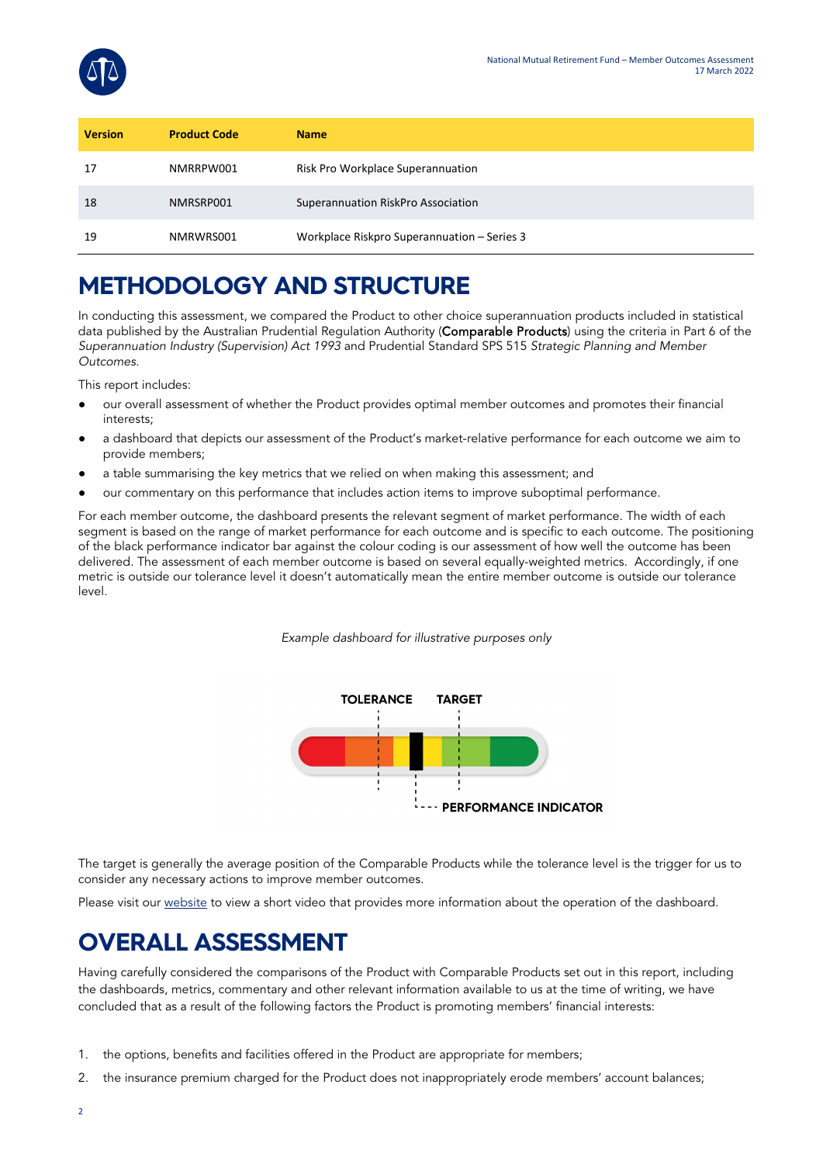

| <b>Version</b> | <b>Product Code</b> | <b>Name</b>                                 |
|----------------|---------------------|---------------------------------------------|
| 17             | NMRRPW001           | Risk Pro Workplace Superannuation           |
| 18             | NMRSRP001           | Superannuation RiskPro Association          |
| 19             | NMRWRS001           | Workplace Riskpro Superannuation - Series 3 |

## **METHODOLOGY AND STRUCTURE**

In conducting this assessment, we compared the Product to other choice superannuation products included in statistical data published by the Australian Prudential Regulation Authority (Comparable Products) using the criteria in Part 6 of the *Superannuation Industry (Supervision) Act 1993* and Prudential Standard SPS 515 *Strategic Planning and Member Outcomes*.

This report includes:

- our overall assessment of whether the Product provides optimal member outcomes and promotes their financial interests;
- a dashboard that depicts our assessment of the Product's market-relative performance for each outcome we aim to provide members;
- a table summarising the key metrics that we relied on when making this assessment; and
- our commentary on this performance that includes action items to improve suboptimal performance.

For each member outcome, the dashboard presents the relevant segment of market performance. The width of each segment is based on the range of market performance for each outcome and is specific to each outcome. The positioning of the black performance indicator bar against the colour coding is our assessment of how well the outcome has been delivered. The assessment of each member outcome is based on several equally-weighted metrics. Accordingly, if one metric is outside our tolerance level it doesn't automatically mean the entire member outcome is outside our tolerance level.

*Example dashboard for illustrative purposes only*



The target is generally the average position of the Comparable Products while the tolerance level is the trigger for us to consider any necessary actions to improve member outcomes.

Please visit our [website](https://www.eqt.com.au/superannuation) to view a short video that provides more information about the operation of the dashboard.

## **OVERALL ASSESSMENT**

Having carefully considered the comparisons of the Product with Comparable Products set out in this report, including the dashboards, metrics, commentary and other relevant information available to us at the time of writing, we have concluded that as a result of the following factors the Product is promoting members' financial interests:

- 1. the options, benefits and facilities offered in the Product are appropriate for members;
- 2. the insurance premium charged for the Product does not inappropriately erode members' account balances;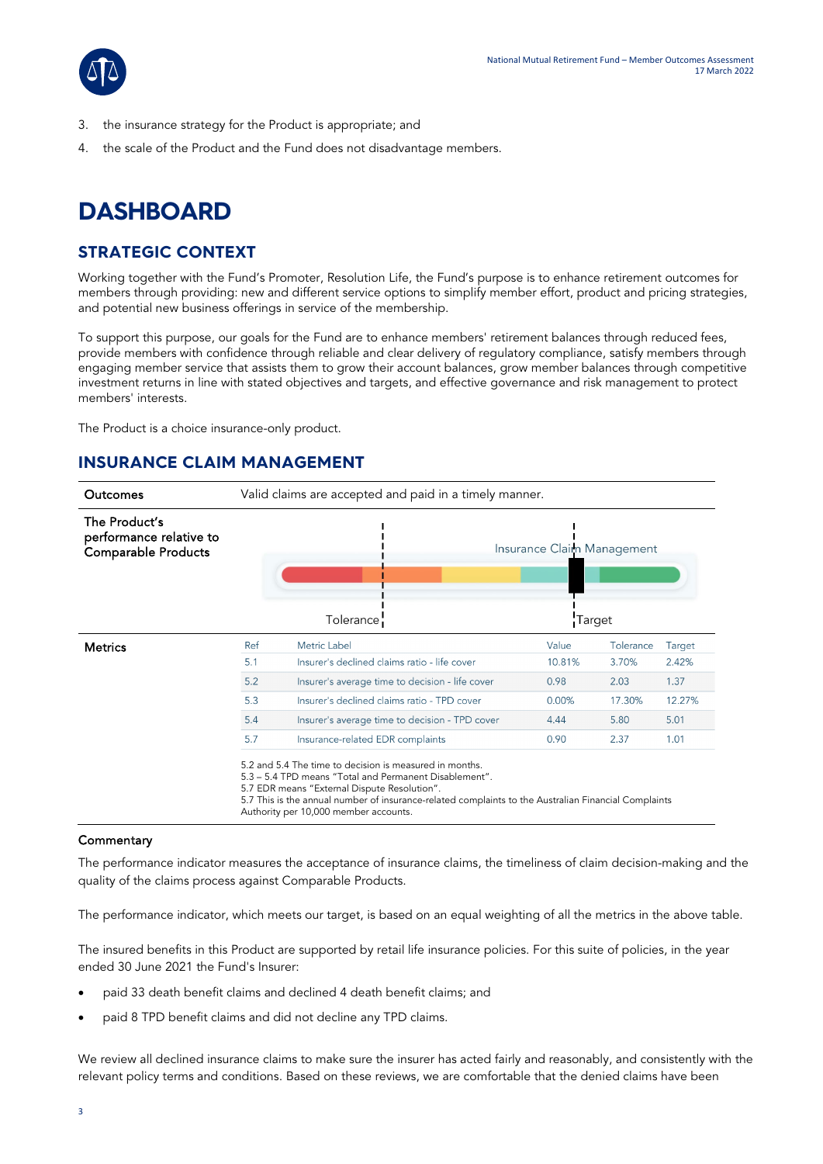

- 3. the insurance strategy for the Product is appropriate; and
- 4. the scale of the Product and the Fund does not disadvantage members.

## **DASHBOARD**

## **STRATEGIC CONTEXT**

Working together with the Fund's Promoter, Resolution Life, the Fund's purpose is to enhance retirement outcomes for members through providing: new and different service options to simplify member effort, product and pricing strategies, and potential new business offerings in service of the membership.

To support this purpose, our goals for the Fund are to enhance members' retirement balances through reduced fees, provide members with confidence through reliable and clear delivery of regulatory compliance, satisfy members through engaging member service that assists them to grow their account balances, grow member balances through competitive investment returns in line with stated objectives and targets, and effective governance and risk management to protect members' interests.

The Product is a choice insurance-only product.

## **INSURANCE CLAIM MANAGEMENT**



#### 5.7 This is the annual number of insurance-related complaints to the Australian Financial Complaints Authority per 10,000 member accounts.

### **Commentary**

The performance indicator measures the acceptance of insurance claims, the timeliness of claim decision-making and the quality of the claims process against Comparable Products.

The performance indicator, which meets our target, is based on an equal weighting of all the metrics in the above table.

The insured benefits in this Product are supported by retail life insurance policies. For this suite of policies, in the year ended 30 June 2021 the Fund's Insurer:

- paid 33 death benefit claims and declined 4 death benefit claims; and
- paid 8 TPD benefit claims and did not decline any TPD claims.

We review all declined insurance claims to make sure the insurer has acted fairly and reasonably, and consistently with the relevant policy terms and conditions. Based on these reviews, we are comfortable that the denied claims have been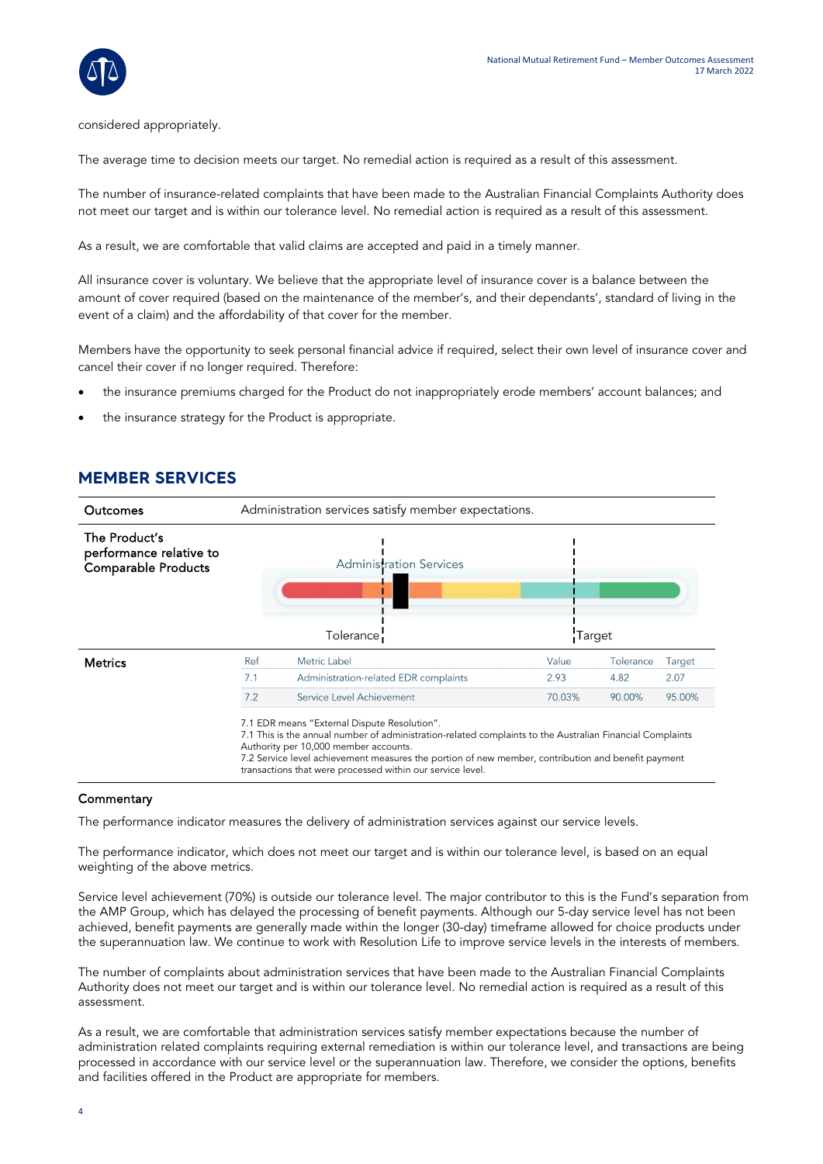

considered appropriately.

The average time to decision meets our target. No remedial action is required as a result of this assessment.

The number of insurance-related complaints that have been made to the Australian Financial Complaints Authority does not meet our target and is within our tolerance level. No remedial action is required as a result of this assessment.

As a result, we are comfortable that valid claims are accepted and paid in a timely manner.

All insurance cover is voluntary. We believe that the appropriate level of insurance cover is a balance between the amount of cover required (based on the maintenance of the member's, and their dependants', standard of living in the event of a claim) and the affordability of that cover for the member.

Members have the opportunity to seek personal financial advice if required, select their own level of insurance cover and cancel their cover if no longer required. Therefore:

- the insurance premiums charged for the Product do not inappropriately erode members' account balances; and
- the insurance strategy for the Product is appropriate.

### **MEMBER SERVICES**

| Outcomes                                                               | Administration services satisfy member expectations. |                                                                                                                                                                                                                                                                                                                                                                        |        |           |        |  |
|------------------------------------------------------------------------|------------------------------------------------------|------------------------------------------------------------------------------------------------------------------------------------------------------------------------------------------------------------------------------------------------------------------------------------------------------------------------------------------------------------------------|--------|-----------|--------|--|
| The Product's<br>performance relative to<br><b>Comparable Products</b> |                                                      | <b>Administration Services</b><br>Tolerance                                                                                                                                                                                                                                                                                                                            | Target |           |        |  |
| <b>Metrics</b>                                                         | Ref                                                  | Metric Label                                                                                                                                                                                                                                                                                                                                                           | Value  | Tolerance | Target |  |
|                                                                        | 7.1                                                  | Administration-related EDR complaints                                                                                                                                                                                                                                                                                                                                  | 2.93   | 4.82      | 2.07   |  |
|                                                                        | 7.2                                                  | Service Level Achievement                                                                                                                                                                                                                                                                                                                                              | 70.03% | 90.00%    | 95.00% |  |
|                                                                        |                                                      | 7.1 EDR means "External Dispute Resolution".<br>7.1 This is the annual number of administration-related complaints to the Australian Financial Complaints<br>Authority per 10,000 member accounts.<br>7.2 Service level achievement measures the portion of new member, contribution and benefit payment<br>transactions that were processed within our service level. |        |           |        |  |

### **Commentary**

The performance indicator measures the delivery of administration services against our service levels.

The performance indicator, which does not meet our target and is within our tolerance level, is based on an equal weighting of the above metrics.

Service level achievement (70%) is outside our tolerance level. The major contributor to this is the Fund's separation from the AMP Group, which has delayed the processing of benefit payments. Although our 5-day service level has not been achieved, benefit payments are generally made within the longer (30-day) timeframe allowed for choice products under the superannuation law. We continue to work with Resolution Life to improve service levels in the interests of members.

The number of complaints about administration services that have been made to the Australian Financial Complaints Authority does not meet our target and is within our tolerance level. No remedial action is required as a result of this assessment.

As a result, we are comfortable that administration services satisfy member expectations because the number of administration related complaints requiring external remediation is within our tolerance level, and transactions are being processed in accordance with our service level or the superannuation law. Therefore, we consider the options, benefits and facilities offered in the Product are appropriate for members.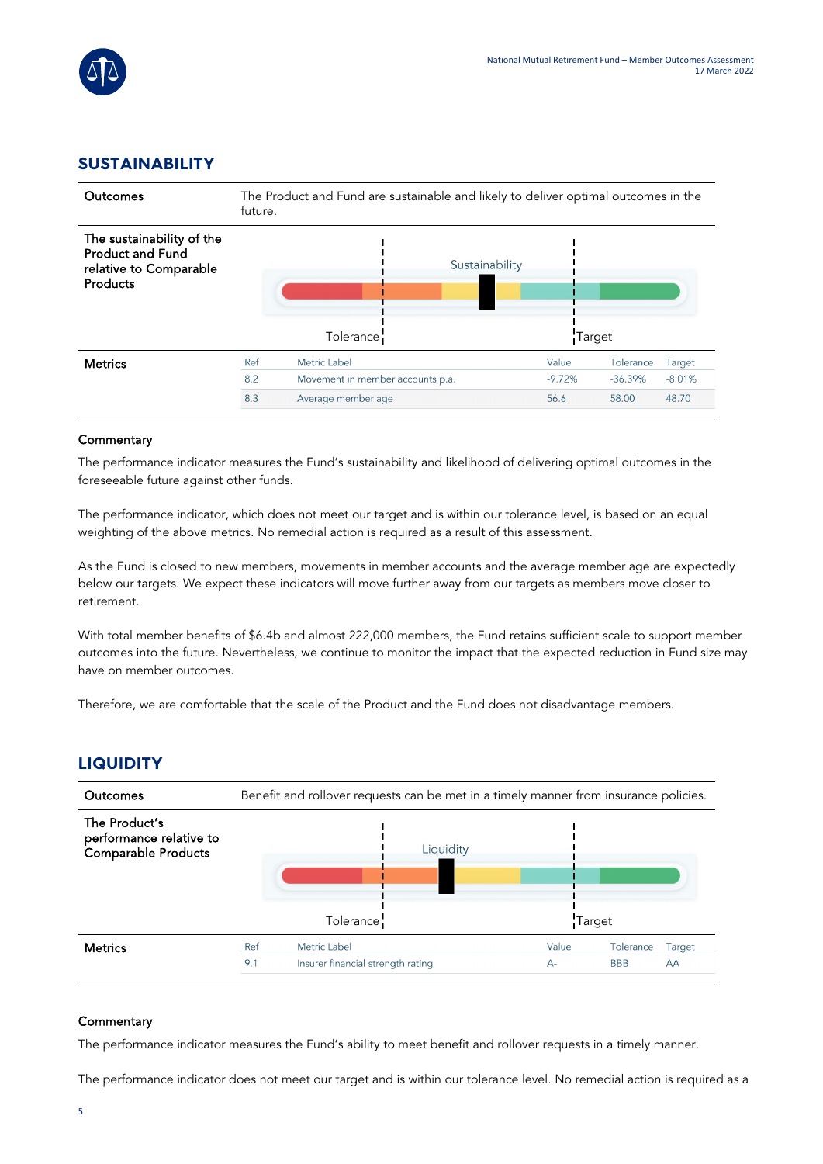

## **SUSTAINABILITY**

| Outcomes                                                                                   | The Product and Fund are sustainable and likely to deliver optimal outcomes in the<br>future. |                                          |          |           |          |
|--------------------------------------------------------------------------------------------|-----------------------------------------------------------------------------------------------|------------------------------------------|----------|-----------|----------|
| The sustainability of the<br><b>Product and Fund</b><br>relative to Comparable<br>Products |                                                                                               | Sustainability<br>Tolerance <sup>1</sup> | Target   |           |          |
| <b>Metrics</b>                                                                             | Ref                                                                                           | Metric Label                             | Value    | Tolerance | Target   |
|                                                                                            | 8.2                                                                                           | Movement in member accounts p.a.         | $-9.72%$ | $-36.39%$ | $-8.01%$ |
|                                                                                            | 8.3                                                                                           | Average member age                       | 56.6     | 58.00     | 48.70    |

### **Commentary**

The performance indicator measures the Fund's sustainability and likelihood of delivering optimal outcomes in the foreseeable future against other funds.

The performance indicator, which does not meet our target and is within our tolerance level, is based on an equal weighting of the above metrics. No remedial action is required as a result of this assessment.

As the Fund is closed to new members, movements in member accounts and the average member age are expectedly below our targets. We expect these indicators will move further away from our targets as members move closer to retirement.

With total member benefits of \$6.4b and almost 222,000 members, the Fund retains sufficient scale to support member outcomes into the future. Nevertheless, we continue to monitor the impact that the expected reduction in Fund size may have on member outcomes.

Therefore, we are comfortable that the scale of the Product and the Fund does not disadvantage members.

## **LIQUIDITY**

| <b>Outcomes</b>                                                 | Benefit and rollover requests can be met in a timely manner from insurance policies. |                                   |        |            |        |
|-----------------------------------------------------------------|--------------------------------------------------------------------------------------|-----------------------------------|--------|------------|--------|
| The Product's<br>performance relative to<br>Comparable Products |                                                                                      | Liquidity                         |        |            |        |
|                                                                 |                                                                                      | Tolerance <sup>1</sup>            | Target |            |        |
| <b>Metrics</b>                                                  | Ref                                                                                  | Metric Label                      | Value  | Tolerance  | Target |
|                                                                 | 9.1                                                                                  | Insurer financial strength rating | $A -$  | <b>BBB</b> | AA     |

#### **Commentary**

The performance indicator measures the Fund's ability to meet benefit and rollover requests in a timely manner.

The performance indicator does not meet our target and is within our tolerance level. No remedial action is required as a